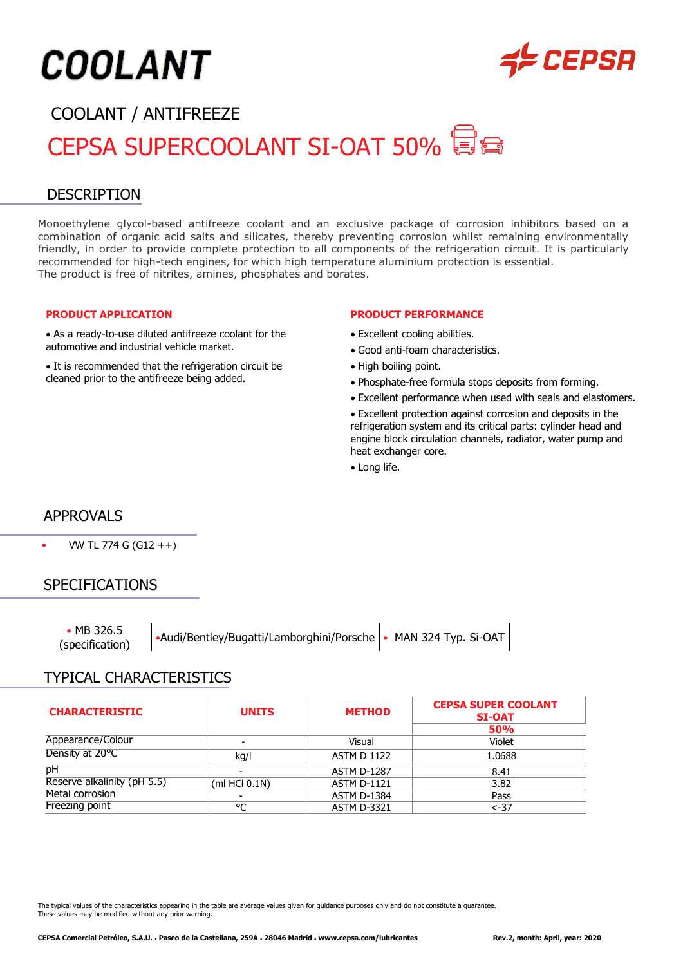# **COOLANT**



# COOLANT / ANTIFREEZE CEPSA SUPERCOOLANT SI-OAT 50%

# DESCRIPTION

Monoethylene glycol-based antifreeze coolant and an exclusive package of corrosion inhibitors based on a combination of organic acid salts and silicates, thereby preventing corrosion whilst remaining environmentally friendly, in order to provide complete protection to all components of the refrigeration circuit. It is particularly recommended for high-tech engines, for which high temperature aluminium protection is essential. The product is free of nitrites, amines, phosphates and borates.

#### **PRODUCT APPLICATION**

• As a ready-to-use diluted antifreeze coolant for the automotive and industrial vehicle market.

• It is recommended that the refrigeration circuit be cleaned prior to the antifreeze being added.

#### **PRODUCT PERFORMANCE**

- Excellent cooling abilities.
- Good anti-foam characteristics.
- High boiling point.
- Phosphate-free formula stops deposits from forming.
- Excellent performance when used with seals and elastomers.
- Excellent protection against corrosion and deposits in the refrigeration system and its critical parts: cylinder head and engine block circulation channels, radiator, water pump and heat exchanger core.
- Long life.

## APPROVALS

• VW TL 774 G (G12 ++)

## SPECIFICATIONS

• MB 326.5

• MB 326.5 • • Audi/Bentley/Bugatti/Lamborghini/Porsche • MAN 324 Typ. Si-OAT

## TYPICAL CHARACTERISTICS

| <b>CHARACTERISTIC</b>       | <b>UNITS</b>  | <b>METHOD</b>      | <b>CEPSA SUPER COOLANT</b><br><b>SI-OAT</b><br><b>50%</b> |
|-----------------------------|---------------|--------------------|-----------------------------------------------------------|
| Appearance/Colour           |               | Visual             | Violet                                                    |
| Density at 20°C             | kg/l          | <b>ASTM D 1122</b> | 1.0688                                                    |
| pH                          |               | <b>ASTM D-1287</b> | 8.41                                                      |
| Reserve alkalinity (pH 5.5) | (mI HCl 0.1N) | <b>ASTM D-1121</b> | 3.82                                                      |
| Metal corrosion             |               | <b>ASTM D-1384</b> | Pass                                                      |
| Freezing point              | °C            | <b>ASTM D-3321</b> | $< -37$                                                   |

The typical values of the characteristics appearing in the table are average values given for guidance purposes only and do not constitute a guarantee. These values may be modified without any prior warning.